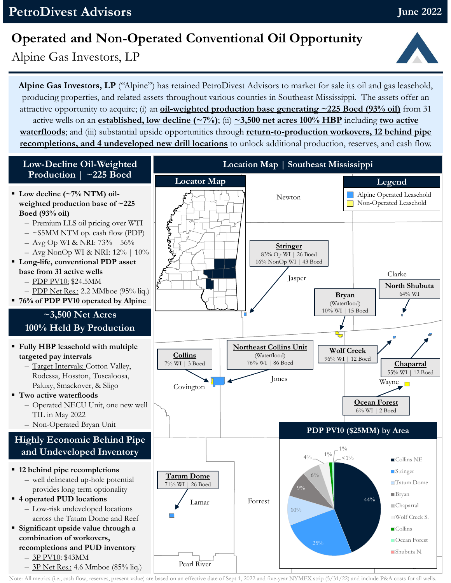## **Operated and Non-Operated Conventional Oil Opportunity**

Alpine Gas Investors, LP

**Alpine Gas Investors, LP** ("Alpine") has retained PetroDivest Advisors to market for sale its oil and gas leasehold, producing properties, and related assets throughout various counties in Southeast Mississippi. The assets offer an attractive opportunity to acquire; (i) an **oil-weighted production base generating ~225 Boed (93% oil)** from 31 active wells on an **established, low decline (~7%)**; (ii) **~3,500 net acres 100% HBP** including **two active waterfloods**; and (iii) substantial upside opportunities through **return-to-production workovers, 12 behind pipe recompletions, and 4 undeveloped new drill locations** to unlock additional production, reserves, and cash flow.



Note: All metrics (i.e., cash flow, reserves, present value) are based on an effective date of Sept 1, 2022 and five-year NYMEX strip (5/31/22) and include P&A costs for all wells